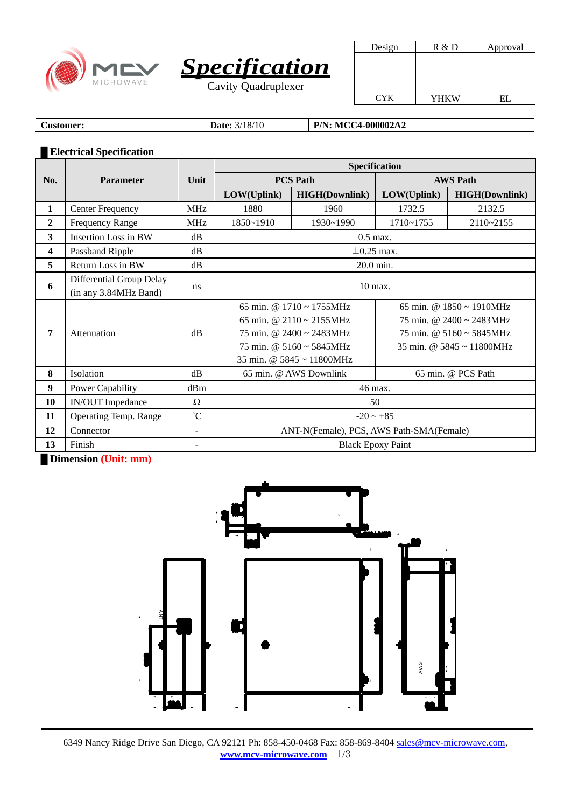



| Design     | R & D | Approval |
|------------|-------|----------|
|            |       |          |
|            |       |          |
|            |       |          |
|            |       |          |
| <b>CYK</b> | YHKW  |          |

**Customer: Date:**  $3/18/10$  **P/N: MCC4-000002A2** 

## **█ Electrical Specification**

|                  |                                                   |             | Specification                                |                                                                                                                                                                                                              |                                                                                                                                                                               |                       |  |
|------------------|---------------------------------------------------|-------------|----------------------------------------------|--------------------------------------------------------------------------------------------------------------------------------------------------------------------------------------------------------------|-------------------------------------------------------------------------------------------------------------------------------------------------------------------------------|-----------------------|--|
| No.              | <b>Parameter</b>                                  | Unit        | <b>PCS Path</b>                              |                                                                                                                                                                                                              | <b>AWS Path</b>                                                                                                                                                               |                       |  |
|                  |                                                   |             | LOW(Uplink)                                  | <b>HIGH(Downlink)</b>                                                                                                                                                                                        | LOW(Uplink)                                                                                                                                                                   | <b>HIGH(Downlink)</b> |  |
| 1                | <b>Center Frequency</b>                           | <b>MHz</b>  | 1880                                         | 1960                                                                                                                                                                                                         | 1732.5                                                                                                                                                                        | 2132.5                |  |
| $\overline{2}$   | <b>Frequency Range</b>                            | <b>MHz</b>  | 1850~1910                                    | 1930~1990                                                                                                                                                                                                    | 1710~1755                                                                                                                                                                     | 2110~2155             |  |
| 3                | <b>Insertion Loss in BW</b>                       | dB          |                                              | $0.5$ max.                                                                                                                                                                                                   |                                                                                                                                                                               |                       |  |
| 4                | Passband Ripple                                   | dB          |                                              |                                                                                                                                                                                                              | $\pm 0.25$ max.                                                                                                                                                               |                       |  |
| 5                | Return Loss in BW                                 | $\rm dB$    |                                              | $20.0$ min.                                                                                                                                                                                                  |                                                                                                                                                                               |                       |  |
| 6                | Differential Group Delay<br>(in any 3.84MHz Band) | ns          | 10 max.                                      |                                                                                                                                                                                                              |                                                                                                                                                                               |                       |  |
| 7                | Attenuation                                       | dB          |                                              | 65 min. @ $1710 \approx 1755 \text{MHz}$<br>65 min. @ $2110 \approx 2155 \text{MHz}$<br>75 min. @ $2400 \approx 2483 \text{MHz}$<br>75 min. @ $5160 \sim 5845$ MHz<br>35 min. @ $5845 \sim 11800 \text{MHz}$ | 65 min. @ $1850 \approx 1910 \text{MHz}$<br>75 min. @ $2400 \approx 2483 \text{MHz}$<br>75 min. @ $5160 \approx 5845 \text{MHz}$<br>35 min. @ $5845 \approx 11800 \text{MHz}$ |                       |  |
| 8                | Isolation                                         | $\rm dB$    | 65 min. @ AWS Downlink<br>65 min. @ PCS Path |                                                                                                                                                                                                              |                                                                                                                                                                               |                       |  |
| $\boldsymbol{9}$ | <b>Power Capability</b>                           | dBm         | 46 max.                                      |                                                                                                                                                                                                              |                                                                                                                                                                               |                       |  |
| 10               | <b>IN/OUT</b> Impedance                           | Ω           | 50                                           |                                                                                                                                                                                                              |                                                                                                                                                                               |                       |  |
| 11               | Operating Temp. Range                             | $^{\circ}C$ | $-20 \sim +85$                               |                                                                                                                                                                                                              |                                                                                                                                                                               |                       |  |
| 12               | Connector                                         | ٠           | ANT-N(Female), PCS, AWS Path-SMA(Female)     |                                                                                                                                                                                                              |                                                                                                                                                                               |                       |  |
| 13               | Finish                                            |             | <b>Black Epoxy Paint</b>                     |                                                                                                                                                                                                              |                                                                                                                                                                               |                       |  |

**█ Dimension (Unit: mm)**



6349 Nancy Ridge Drive San Diego, CA 92121 Ph: 858-450-0468 Fax: 858-869-8404 [sales@mcv-microwave.com,](mailto:sales@mcv-microwave.com) **[www.mcv-microwave.com](http://www.mcv-microwave.com/)** 1/3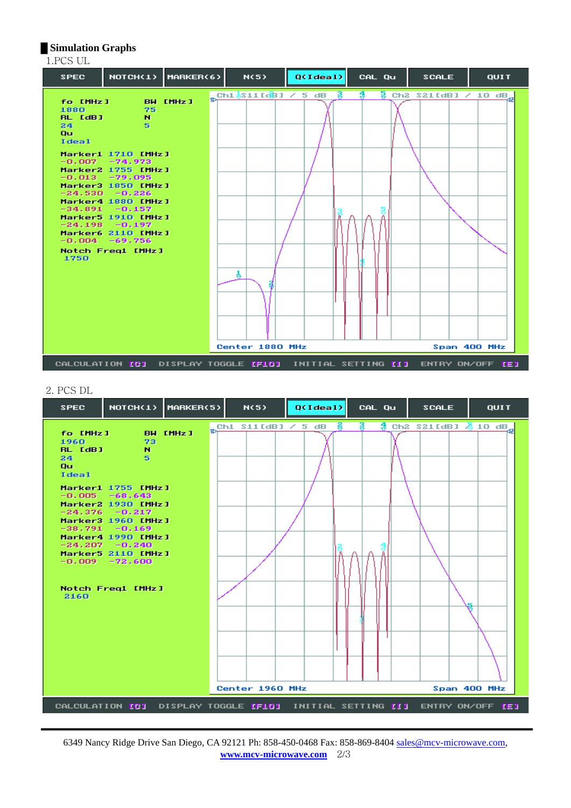## **█ Simulation Graphs**

| 1.PCS UL                                                        |                                                                                                                                                                                                                                                                                                                         |                      |                           |               |                                                                           |                                                    |             |
|-----------------------------------------------------------------|-------------------------------------------------------------------------------------------------------------------------------------------------------------------------------------------------------------------------------------------------------------------------------------------------------------------------|----------------------|---------------------------|---------------|---------------------------------------------------------------------------|----------------------------------------------------|-------------|
| <b>SPEC</b>                                                     |                                                                                                                                                                                                                                                                                                                         | NOTCH(1)   MARKER(6) | N(5)                      | Q(Idea1)      | CAL Qu                                                                    | <b>SCALE</b>                                       | <b>QUIT</b> |
| fo [MHz]<br>1880<br><b>BL</b> [dB]<br>24<br>Qu<br>Ideal<br>1750 | <b>BW EMHz I</b><br>-75<br>N.<br>5<br>Marker1 1710 [MHz]<br>$-0.007 -74.973$<br>Marker2 1755 [MHz]<br>$-0.013 -79.095$<br>Marker3 1850 [MHz ]<br>$-24.530 - 0.226$<br>Marker4 1880 [MHz]<br>$-34.891 - 0.157$<br>Marker5 1910 [MHz]<br>$-24.198 - 0.197$<br>Marker6 2110 [MHz]<br>$-0.004 -69.756$<br>Notch Freq1 [MHz] |                      | €<br>4<br>Center 1880 MHz | $\frac{3}{9}$ | ङ                                                                         | $\frac{5}{9}$ Ch2 S21 [dB] / 10 dB<br>Span 400 MHz |             |
|                                                                 |                                                                                                                                                                                                                                                                                                                         |                      |                           |               | CALCULATION [C] DISPLAY TOGGLE [FID] INITIAL SETTING [I] ENTRY ON/OFF [E] |                                                    |             |

## 2. PCS DL

| 11он<br>fo [MHz ] BW [MHz ]                                                                                                                                                                                                                     | $Ch1$ S11[dB] $\angle$ 5 dB | - है<br>욯 | $\frac{4}{9}$ Ch2 S21 [dB] $\frac{5}{6}$ 10 dB |  |
|-------------------------------------------------------------------------------------------------------------------------------------------------------------------------------------------------------------------------------------------------|-----------------------------|-----------|------------------------------------------------|--|
| 1960<br>-73<br><b>BL</b> [dB]<br>'N.<br>24<br>5.<br>Qu<br>Ideal                                                                                                                                                                                 |                             |           |                                                |  |
| Marker1 1755 [MHz]<br>$-0.005 -68.643$<br>Marker2 1930 [MHz]<br>$-24.376 - 0.217$<br>Marker3 1960 [MHz]<br>$-38.791 - 0.169$<br>Marker4 1990 [MHz]<br>$-24.207 - 0.240$<br>Marker5 2110 [MHz]<br>$-0.009 - 72.600$<br>Notch Freq1 [MHz]<br>2160 |                             |           |                                                |  |
| CALCULATION [C] DISPLAY TOGGLE [FIO] INITIAL SETTING [I] ENTRY ON/OFF [E]                                                                                                                                                                       | Center 1960 MHz             |           | Span 400 MHz                                   |  |

6349 Nancy Ridge Drive San Diego, CA 92121 Ph: 858-450-0468 Fax: 858-869-8404 [sales@mcv-microwave.com,](mailto:sales@mcv-microwave.com) **[www.mcv-microwave.com](http://www.mcv-microwave.com/)** 2/3